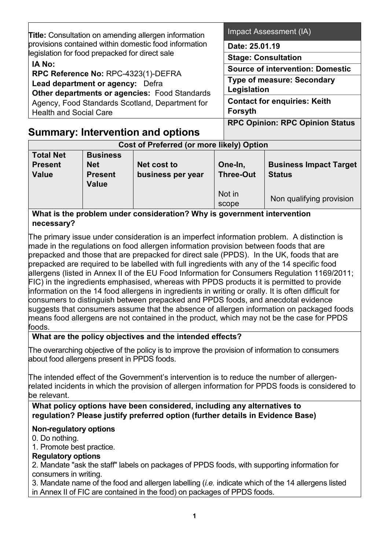| <b>Title:</b> Consultation on amending allergen information                       | Impact Assessment (IA)                                                |  |
|-----------------------------------------------------------------------------------|-----------------------------------------------------------------------|--|
| provisions contained within domestic food information                             | Date: 25.01.19                                                        |  |
| legislation for food prepacked for direct sale                                    | <b>Stage: Consultation</b><br><b>Source of intervention: Domestic</b> |  |
| IA No:<br>RPC Reference No: RPC-4323(1)-DEFRA                                     |                                                                       |  |
| Lead department or agency: Defra<br>Other departments or agencies: Food Standards | <b>Type of measure: Secondary</b><br>Legislation                      |  |
| Agency, Food Standards Scotland, Department for<br><b>Health and Social Care</b>  | <b>Contact for enquiries: Keith</b><br>Forsyth                        |  |
| <b>Summary: Intervention and options</b>                                          | <b>RPC Opinion: RPC Opinion Status</b>                                |  |

| Cost of Preferred (or more likely) Option |                 |                   |                  |                               |  |  |  |  |  |
|-------------------------------------------|-----------------|-------------------|------------------|-------------------------------|--|--|--|--|--|
| <b>Total Net</b>                          | <b>Business</b> |                   |                  |                               |  |  |  |  |  |
| <b>Present</b>                            | <b>Net</b>      | Net cost to       | One-In,          | <b>Business Impact Target</b> |  |  |  |  |  |
| <b>Value</b>                              | <b>Present</b>  | business per year | <b>Three-Out</b> | <b>Status</b>                 |  |  |  |  |  |
|                                           | <b>Value</b>    |                   |                  |                               |  |  |  |  |  |
|                                           |                 |                   | Not in           |                               |  |  |  |  |  |
|                                           |                 |                   | scope            | Non qualifying provision      |  |  |  |  |  |

### **What is the problem under consideration? Why is government intervention necessary?**

The primary issue under consideration is an imperfect information problem. A distinction is made in the regulations on food allergen information provision between foods that are prepacked and those that are prepacked for direct sale (PPDS). In the UK, foods that are prepacked are required to be labelled with full ingredients with any of the 14 specific food allergens (listed in Annex II of the EU Food Information for Consumers Regulation 1169/2011; FIC) in the ingredients emphasised, whereas with PPDS products it is permitted to provide information on the 14 food allergens in ingredients in writing or orally. It is often difficult for consumers to distinguish between prepacked and PPDS foods, and anecdotal evidence suggests that consumers assume that the absence of allergen information on packaged foods means food allergens are not contained in the product, which may not be the case for PPDS foods.

### **What are the policy objectives and the intended effects?**

The overarching objective of the policy is to improve the provision of information to consumers about food allergens present in PPDS foods.

The intended effect of the Government's intervention is to reduce the number of allergenrelated incidents in which the provision of allergen information for PPDS foods is considered to be relevant.

**What policy options have been considered, including any alternatives to regulation? Please justify preferred option (further details in Evidence Base)**

### **Non-regulatory options**

0. Do nothing.

1. Promote best practice.

### **Regulatory options**

2. Mandate "ask the staff" labels on packages of PPDS foods, with supporting information for consumers in writing.

3. Mandate name of the food and allergen labelling (*i.e.* indicate which of the 14 allergens listed in Annex II of FIC are contained in the food) on packages of PPDS foods.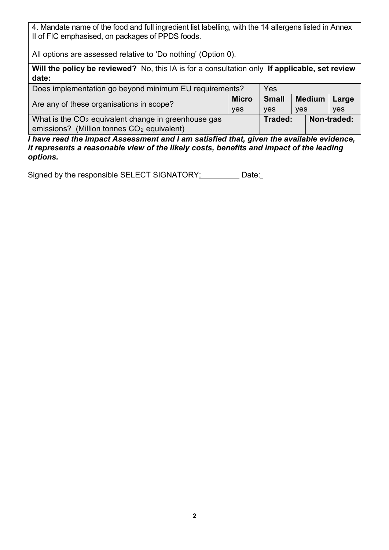4. Mandate name of the food and full ingredient list labelling, with the 14 allergens listed in Annex II of FIC emphasised, on packages of PPDS foods.

All options are assessed relative to 'Do nothing' (Option 0).

**Will the policy be reviewed?** No, this IA is for a consultation only **If applicable, set review date:**

| Does implementation go beyond minimum EU requirements?          | Yes          |              |               |  |             |
|-----------------------------------------------------------------|--------------|--------------|---------------|--|-------------|
| Are any of these organisations in scope?                        | <b>Micro</b> | <b>Small</b> | <b>Medium</b> |  | Large       |
|                                                                 | yes          | <b>ves</b>   | <b>ves</b>    |  | <b>ves</b>  |
| What is the CO <sub>2</sub> equivalent change in greenhouse gas |              | Traded:      |               |  | Non-traded: |
| emissions? (Million tonnes CO <sub>2</sub> equivalent)          |              |              |               |  |             |

*I have read the Impact Assessment and I am satisfied that, given the available evidence, it represents a reasonable view of the likely costs, benefits and impact of the leading options.* 

Signed by the responsible SELECT SIGNATORY: Date: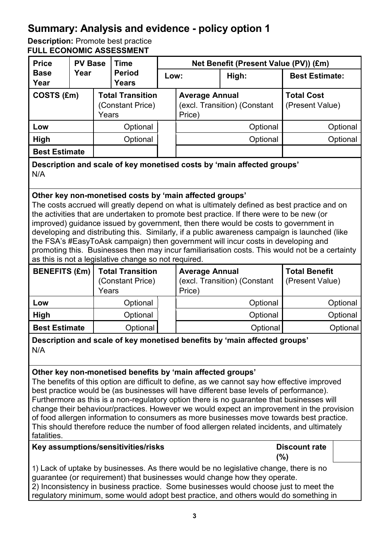# **Summary: Analysis and evidence - policy option 1**

**Description:** Promote best practice **FULL ECONOMIC ASSESSMENT** 

| <b>Price</b>         | <b>PV Base</b> |       | <b>Time</b>                                 |      | Net Benefit (Present Value (PV)) (£m)                           |          |                                      |  |
|----------------------|----------------|-------|---------------------------------------------|------|-----------------------------------------------------------------|----------|--------------------------------------|--|
| <b>Base</b><br>Year  | Year           |       | <b>Period</b><br><b>Years</b>               | Low: |                                                                 | High:    | <b>Best Estimate:</b>                |  |
| COSTS (£m)           |                | Years | <b>Total Transition</b><br>(Constant Price) |      | <b>Average Annual</b><br>(excl. Transition) (Constant<br>Price) |          | <b>Total Cost</b><br>(Present Value) |  |
| Low                  |                |       | Optional                                    |      |                                                                 | Optional | Optional                             |  |
| High                 |                |       | Optional                                    |      | Optional                                                        |          | Optional                             |  |
| <b>Best Estimate</b> |                |       |                                             |      |                                                                 |          |                                      |  |

**Description and scale of key monetised costs by 'main affected groups'**  N/A

## **Other key non-monetised costs by 'main affected groups'**

The costs accrued will greatly depend on what is ultimately defined as best practice and on the activities that are undertaken to promote best practice. If there were to be new (or improved) guidance issued by government, then there would be costs to government in developing and distributing this. Similarly, if a public awareness campaign is launched (like the FSA's #EasyToAsk campaign) then government will incur costs in developing and promoting this. Businesses then may incur familiarisation costs. This would not be a certainty as this is not a legislative change so not required.

| BENEFITS (£m)        | <b>Total Transition</b><br>(Constant Price)<br>Years | <b>Average Annual</b><br>(excl. Transition) (Constant<br>Price) | <b>Total Benefit</b><br>(Present Value) |
|----------------------|------------------------------------------------------|-----------------------------------------------------------------|-----------------------------------------|
| Low                  | Optional                                             | Optional                                                        | Optional                                |
| High                 | Optional                                             | Optional                                                        | Optional                                |
| <b>Best Estimate</b> | Optional                                             | Optional                                                        | Optional                                |

**Description and scale of key monetised benefits by 'main affected groups'**  N/A

## **Other key non-monetised benefits by 'main affected groups'**

The benefits of this option are difficult to define, as we cannot say how effective improved best practice would be (as businesses will have different base levels of performance). Furthermore as this is a non-regulatory option there is no guarantee that businesses will change their behaviour/practices. However we would expect an improvement in the provision of food allergen information to consumers as more businesses move towards best practice. This should therefore reduce the number of food allergen related incidents, and ultimately fatalities.

### Key assumptions/sensitivities/risks **New Sensitial Strutter and Australian Control** Discount rate

**(%)**

1) Lack of uptake by businesses. As there would be no legislative change, there is no guarantee (or requirement) that businesses would change how they operate.

2) Inconsistency in business practice. Some businesses would choose just to meet the regulatory minimum, some would adopt best practice, and others would do something in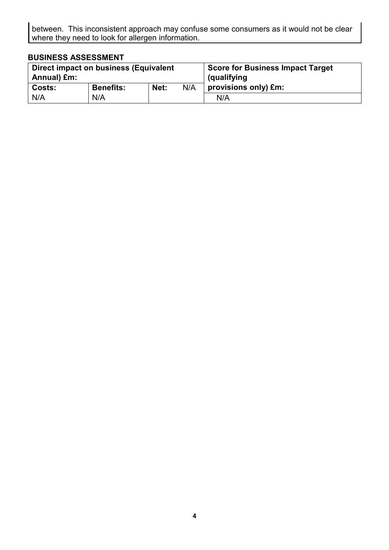between. This inconsistent approach may confuse some consumers as it would not be clear where they need to look for allergen information.

## **BUSINESS ASSESSMENT**

| Direct impact on business (Equivalent<br>Annual) £m: |                  |      | Score for Business Impact Target<br>(qualifying) |                      |
|------------------------------------------------------|------------------|------|--------------------------------------------------|----------------------|
| <b>Costs:</b>                                        | <b>Benefits:</b> | Net: | N/A                                              | provisions only) £m: |
| N/A                                                  | N/A              |      |                                                  | N/A                  |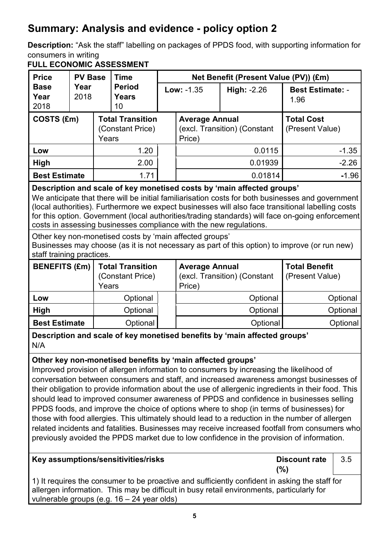# **Summary: Analysis and evidence - policy option 2**

**Description:** "Ask the staff" labelling on packages of PPDS food, with supporting information for consumers in writing

# **FULL ECONOMIC ASSESSMENT**

| <b>Price</b>                | <b>PV Base</b> | <b>Time</b>                                          |  | Net Benefit (Present Value (PV)) (£m)                           |               |                                      |  |
|-----------------------------|----------------|------------------------------------------------------|--|-----------------------------------------------------------------|---------------|--------------------------------------|--|
| <b>Base</b><br>Year<br>2018 | Year<br>2018   | <b>Period</b><br><b>Years</b><br>10                  |  | <b>Low: -1.35</b>                                               | High: $-2.26$ | <b>Best Estimate: -</b><br>1.96      |  |
| COSTS (£m)                  |                | <b>Total Transition</b><br>(Constant Price)<br>Years |  | <b>Average Annual</b><br>(excl. Transition) (Constant<br>Price) |               | <b>Total Cost</b><br>(Present Value) |  |
| Low                         |                | 1.20                                                 |  |                                                                 | 0.0115        | $-1.35$                              |  |
| High                        |                | 2.00                                                 |  | 0.01939                                                         |               | $-2.26$                              |  |
| <b>Best Estimate</b>        |                | 1.71                                                 |  |                                                                 | 0.01814       | $-1.96$                              |  |

**Description and scale of key monetised costs by 'main affected groups'** 

We anticipate that there will be initial familiarisation costs for both businesses and government (local authorities). Furthermore we expect businesses will also face transitional labelling costs for this option. Government (local authorities/trading standards) will face on-going enforcement costs in assessing businesses compliance with the new regulations.

Other key non-monetised costs by 'main affected groups'

Businesses may choose (as it is not necessary as part of this option) to improve (or run new) staff training practices.

| BENEFITS (£m)        | <b>Total Transition</b><br>(Constant Price)<br>Years | <b>Average Annual</b><br>(excl. Transition) (Constant<br>Price) | <b>Total Benefit</b><br>(Present Value) |
|----------------------|------------------------------------------------------|-----------------------------------------------------------------|-----------------------------------------|
| Low                  | Optional                                             | Optional                                                        | Optional                                |
| High                 | Optional                                             | Optional                                                        | Optional                                |
| <b>Best Estimate</b> | Optional                                             | Optional                                                        | Optional                                |

**Description and scale of key monetised benefits by 'main affected groups'**  N/A

## **Other key non-monetised benefits by 'main affected groups'**

Improved provision of allergen information to consumers by increasing the likelihood of conversation between consumers and staff, and increased awareness amongst businesses of their obligation to provide information about the use of allergenic ingredients in their food. This should lead to improved consumer awareness of PPDS and confidence in businesses selling PPDS foods, and improve the choice of options where to shop (in terms of businesses) for those with food allergies. This ultimately should lead to a reduction in the number of allergen related incidents and fatalities. Businesses may receive increased footfall from consumers who previously avoided the PPDS market due to low confidence in the provision of information.

## Key assumptions/sensitivities/risks **New Strate Strate Discount rate Discount rate**

3.5

| $(\%)$ |  |
|--------|--|
|--------|--|

1) It requires the consumer to be proactive and sufficiently confident in asking the staff for allergen information. This may be difficult in busy retail environments, particularly for vulnerable groups (e.g. 16 – 24 year olds)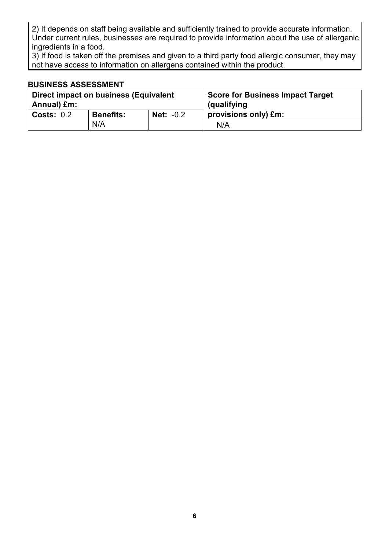2) It depends on staff being available and sufficiently trained to provide accurate information. Under current rules, businesses are required to provide information about the use of allergenic ingredients in a food.

3) If food is taken off the premises and given to a third party food allergic consumer, they may not have access to information on allergens contained within the product.

### **BUSINESS ASSESSMENT**

| Annual) £m: | Direct impact on business (Equivalent |                               | <b>Score for Business Impact Target</b><br>(qualifying) |
|-------------|---------------------------------------|-------------------------------|---------------------------------------------------------|
| Costs: 0.2  | <b>Benefits:</b><br>N/A               | <b>Net: <math>-0.2</math></b> | provisions only) £m:<br>N/A                             |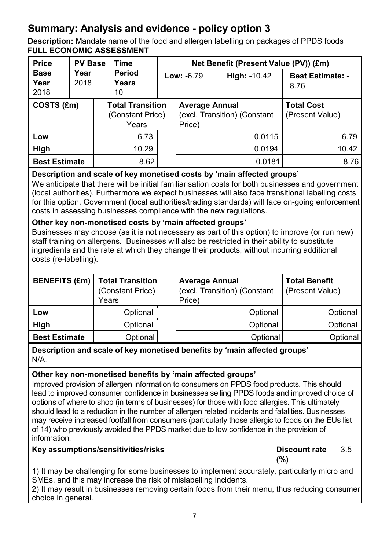# **Summary: Analysis and evidence - policy option 3**

**Description:** Mandate name of the food and allergen labelling on packages of PPDS foods **FULL ECONOMIC ASSESSMENT** 

| <b>Price</b><br><b>PV Base</b> |              | <b>Time</b>                                          | Net Benefit (Present Value (PV)) (£m) |            |                              |                                      |
|--------------------------------|--------------|------------------------------------------------------|---------------------------------------|------------|------------------------------|--------------------------------------|
| <b>Base</b><br>Year<br>2018    | Year<br>2018 | <b>Period</b><br><b>Years</b><br>10                  |                                       | Low: -6.79 | High: -10.42                 | <b>Best Estimate: -</b><br>8.76      |
| COSTS (£m)                     |              | <b>Total Transition</b><br>(Constant Price)<br>Years | <b>Average Annual</b><br>Price)       |            | (excl. Transition) (Constant | <b>Total Cost</b><br>(Present Value) |
| Low                            |              | 6.73                                                 |                                       |            | 0.0115                       | 6.79                                 |
| High                           |              | 10.29                                                |                                       | 0.0194     |                              | 10.42                                |
| <b>Best Estimate</b>           |              | 8.62                                                 |                                       |            | 0.0181                       | 8.76                                 |

## **Description and scale of key monetised costs by 'main affected groups'**

We anticipate that there will be initial familiarisation costs for both businesses and government (local authorities). Furthermore we expect businesses will also face transitional labelling costs for this option. Government (local authorities/trading standards) will face on-going enforcement costs in assessing businesses compliance with the new regulations.

### **Other key non-monetised costs by 'main affected groups'**

Businesses may choose (as it is not necessary as part of this option) to improve (or run new) staff training on allergens. Businesses will also be restricted in their ability to substitute ingredients and the rate at which they change their products, without incurring additional costs (re-labelling).

| BENEFITS (£m)        | <b>Total Transition</b><br>(Constant Price)<br>Years |  | <b>Average Annual</b><br>(excl. Transition) (Constant<br>Price) | <b>Total Benefit</b><br>(Present Value) |
|----------------------|------------------------------------------------------|--|-----------------------------------------------------------------|-----------------------------------------|
| Low                  | Optional                                             |  | Optional                                                        | Optional                                |
| <b>High</b>          | Optional                                             |  | Optional                                                        | Optional                                |
| <b>Best Estimate</b> | Optional                                             |  | Optional                                                        | Optional                                |

**Description and scale of key monetised benefits by 'main affected groups'**  N/A.

## **Other key non-monetised benefits by 'main affected groups'**

Improved provision of allergen information to consumers on PPDS food products. This should lead to improved consumer confidence in businesses selling PPDS foods and improved choice of options of where to shop (in terms of businesses) for those with food allergies. This ultimately should lead to a reduction in the number of allergen related incidents and fatalities. Businesses may receive increased footfall from consumers (particularly those allergic to foods on the EUs list of 14) who previously avoided the PPDS market due to low confidence in the provision of information.

## **Key assumptions/sensitivities/risks Discount rate**

3.5

**(%)**

1) It may be challenging for some businesses to implement accurately, particularly micro and SMEs, and this may increase the risk of mislabelling incidents.

2) It may result in businesses removing certain foods from their menu, thus reducing consumer choice in general.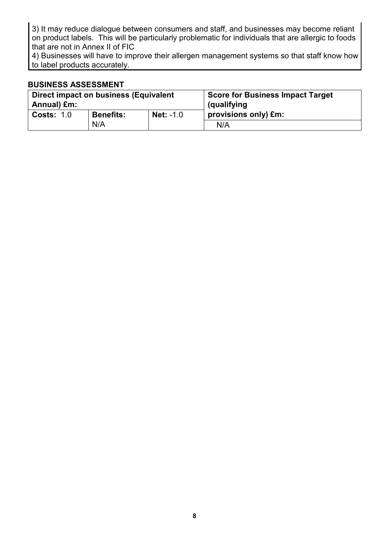3) It may reduce dialogue between consumers and staff, and businesses may become reliant on product labels. This will be particularly problematic for individuals that are allergic to foods that are not in Annex II of FIC

4) Businesses will have to improve their allergen management systems so that staff know how to label products accurately.

### **BUSINESS ASSESSMENT**

| Direct impact on business (Equivalent<br>Annual) £m: |                         |                               | <b>Score for Business Impact Target</b><br>(qualifying) |
|------------------------------------------------------|-------------------------|-------------------------------|---------------------------------------------------------|
| <b>Costs: 1.0</b>                                    | <b>Benefits:</b><br>N/A | <b>Net: <math>-1.0</math></b> | provisions only) £m:<br>N/A                             |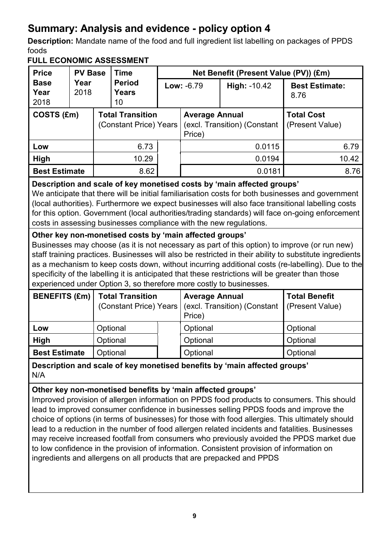# **Summary: Analysis and evidence - policy option 4**

**Description:** Mandate name of the food and full ingredient list labelling on packages of PPDS foods

## **FULL ECONOMIC ASSESSMENT**

| <b>Price</b>                | <b>PV Base</b> | <b>Time</b>                                       |                                 | Net Benefit (Present Value (PV)) (£m) |                                      |
|-----------------------------|----------------|---------------------------------------------------|---------------------------------|---------------------------------------|--------------------------------------|
| <b>Base</b><br>Year<br>2018 | Year<br>2018   | <b>Period</b><br><b>Years</b><br>10               | <b>Low: -6.79</b>               | High: -10.42                          | <b>Best Estimate:</b><br>8.76        |
| COSTS (£m)                  |                | <b>Total Transition</b><br>(Constant Price) Years | <b>Average Annual</b><br>Price) | (excl. Transition) (Constant          | <b>Total Cost</b><br>(Present Value) |
| Low                         |                | 6.73                                              |                                 | 0.0115                                | 6.79                                 |
| High                        |                | 10.29                                             |                                 | 0.0194                                | 10.42                                |
| <b>Best Estimate</b>        |                | 8.62                                              |                                 | 0.0181                                | 8.76                                 |

## **Description and scale of key monetised costs by 'main affected groups'**

We anticipate that there will be initial familiarisation costs for both businesses and government (local authorities). Furthermore we expect businesses will also face transitional labelling costs for this option. Government (local authorities/trading standards) will face on-going enforcement costs in assessing businesses compliance with the new regulations.

## **Other key non-monetised costs by 'main affected groups'**

Businesses may choose (as it is not necessary as part of this option) to improve (or run new) staff training practices. Businesses will also be restricted in their ability to substitute ingredients as a mechanism to keep costs down, without incurring additional costs (re-labelling). Due to the specificity of the labelling it is anticipated that these restrictions will be greater than those experienced under Option 3, so therefore more costly to businesses.

|                      | <b>BENEFITS (£m)</b> Total Transition<br>(Constant Price) Years |  | <b>Average Annual</b><br>(excl. Transition) (Constant<br>Price) | <b>Total Benefit</b><br>(Present Value) |
|----------------------|-----------------------------------------------------------------|--|-----------------------------------------------------------------|-----------------------------------------|
| Low                  | Optional                                                        |  | Optional                                                        | Optional                                |
| High                 | Optional                                                        |  | Optional                                                        | Optional                                |
| <b>Best Estimate</b> | Optional                                                        |  | Optional                                                        | Optional                                |

## **Description and scale of key monetised benefits by 'main affected groups'**  N/A

## **Other key non-monetised benefits by 'main affected groups'**

Improved provision of allergen information on PPDS food products to consumers. This should lead to improved consumer confidence in businesses selling PPDS foods and improve the choice of options (in terms of businesses) for those with food allergies. This ultimately should lead to a reduction in the number of food allergen related incidents and fatalities. Businesses may receive increased footfall from consumers who previously avoided the PPDS market due to low confidence in the provision of information. Consistent provision of information on ingredients and allergens on all products that are prepacked and PPDS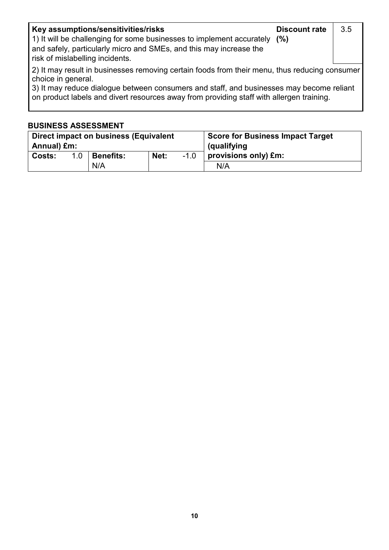| Key assumptions/sensitivities/risks<br>1) It will be challenging for some businesses to implement accurately<br>and safely, particularly micro and SMEs, and this may increase the<br>risk of mislabelling incidents.                                                                                       | <b>Discount rate</b><br>(% ) | 3.5 |
|-------------------------------------------------------------------------------------------------------------------------------------------------------------------------------------------------------------------------------------------------------------------------------------------------------------|------------------------------|-----|
| 2) It may result in businesses removing certain foods from their menu, thus reducing consumer<br>choice in general.<br>3) It may reduce dialogue between consumers and staff, and businesses may become reliant<br>on product labels and divert resources away from providing staff with allergen training. |                              |     |

## **BUSINESS ASSESSMENT**

| Direct impact on business (Equivalent<br>Annual) £m: |     |                         |      | Score for Business Impact Target<br>(qualifying) |                               |
|------------------------------------------------------|-----|-------------------------|------|--------------------------------------------------|-------------------------------|
| <b>Costs:</b>                                        | 1.0 | <b>Benefits:</b><br>N/A | Net: | $-1.0$                                           | provisions only) $Em:$<br>N/A |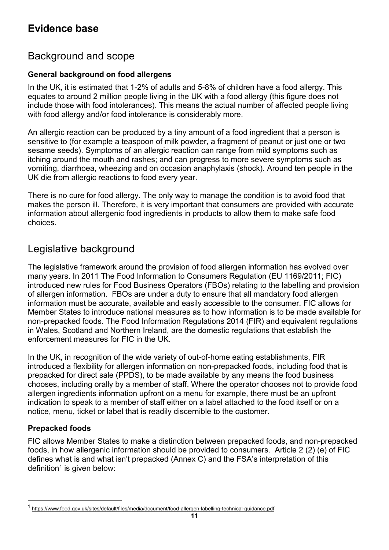# **Evidence base**

# Background and scope

### **General background on food allergens**

In the UK, it is estimated that 1-2% of adults and 5-8% of children have a food allergy. This equates to around 2 million people living in the UK with a food allergy (this figure does not include those with food intolerances). This means the actual number of affected people living with food allergy and/or food intolerance is considerably more.

An allergic reaction can be produced by a tiny amount of a food ingredient that a person is sensitive to (for example a teaspoon of milk powder, a fragment of peanut or just one or two sesame seeds). Symptoms of an allergic reaction can range from mild symptoms such as itching around the mouth and rashes; and can progress to more severe symptoms such as vomiting, diarrhoea, wheezing and on occasion anaphylaxis (shock). Around ten people in the UK die from allergic reactions to food every year.

There is no cure for food allergy. The only way to manage the condition is to avoid food that makes the person ill. Therefore, it is very important that consumers are provided with accurate information about allergenic food ingredients in products to allow them to make safe food choices.

# Legislative background

The legislative framework around the provision of food allergen information has evolved over many years. In 2011 The Food Information to Consumers Regulation (EU 1169/2011; FIC) introduced new rules for Food Business Operators (FBOs) relating to the labelling and provision of allergen information. FBOs are under a duty to ensure that all mandatory food allergen information must be accurate, available and easily accessible to the consumer. FIC allows for Member States to introduce national measures as to how information is to be made available for non-prepacked foods. The Food Information Regulations 2014 (FIR) and equivalent regulations in Wales, Scotland and Northern Ireland, are the domestic regulations that establish the enforcement measures for FIC in the UK.

In the UK, in recognition of the wide variety of out-of-home eating establishments, FIR introduced a flexibility for allergen information on non-prepacked foods, including food that is prepacked for direct sale (PPDS), to be made available by any means the food business chooses, including orally by a member of staff. Where the operator chooses not to provide food allergen ingredients information upfront on a menu for example, there must be an upfront indication to speak to a member of staff either on a label attached to the food itself or on a notice, menu, ticket or label that is readily discernible to the customer.

## **Prepacked foods**

 $\overline{a}$ 

FIC allows Member States to make a distinction between prepacked foods, and non-prepacked foods, in how allergenic information should be provided to consumers. Article 2 (2) (e) of FIC defines what is and what isn't prepacked (Annex C) and the FSA's interpretation of this  $definition<sup>1</sup>$  $definition<sup>1</sup>$  $definition<sup>1</sup>$  is given below:

<span id="page-10-0"></span><sup>1</sup> <https://www.food.gov.uk/sites/default/files/media/document/food-allergen-labelling-technical-guidance.pdf>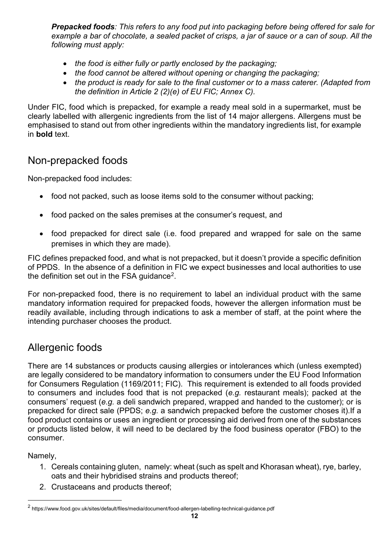*Prepacked foods: This refers to any food put into packaging before being offered for sale for example a bar of chocolate, a sealed packet of crisps, a jar of sauce or a can of soup. All the following must apply:* 

- *the food is either fully or partly enclosed by the packaging;*
- *the food cannot be altered without opening or changing the packaging;*
- *the product is ready for sale to the final customer or to a mass caterer. (Adapted from the definition in Article 2 (2)(e) of EU FIC; Annex C).*

Under FIC, food which is prepacked, for example a ready meal sold in a supermarket, must be clearly labelled with allergenic ingredients from the list of 14 major allergens. Allergens must be emphasised to stand out from other ingredients within the mandatory ingredients list, for example in **bold** text.

# Non-prepacked foods

Non-prepacked food includes:

- food not packed, such as loose items sold to the consumer without packing;
- food packed on the sales premises at the consumer's request, and
- food prepacked for direct sale (i.e. food prepared and wrapped for sale on the same premises in which they are made).

FIC defines prepacked food, and what is not prepacked, but it doesn't provide a specific definition of PPDS. In the absence of a definition in FIC we expect businesses and local authorities to use the definition set out in the FSA guidance[2](#page-11-0).

For non-prepacked food, there is no requirement to label an individual product with the same mandatory information required for prepacked foods, however the allergen information must be readily available, including through indications to ask a member of staff, at the point where the intending purchaser chooses the product.

# Allergenic foods

There are 14 substances or products causing allergies or intolerances which (unless exempted) are legally considered to be mandatory information to consumers under the EU Food Information for Consumers Regulation (1169/2011; FIC). This requirement is extended to all foods provided to consumers and includes food that is not prepacked (*e.g.* restaurant meals); packed at the consumers' request (*e.g.* a deli sandwich prepared, wrapped and handed to the customer); or is prepacked for direct sale (PPDS; *e.g.* a sandwich prepacked before the customer choses it).If a food product contains or uses an ingredient or processing aid derived from one of the substances or products listed below, it will need to be declared by the food business operator (FBO) to the consumer.

Namely,

 $\overline{a}$ 

- 1. Cereals containing gluten, namely: wheat (such as spelt and Khorasan wheat), rye, barley, oats and their hybridised strains and products thereof;
- 2. Crustaceans and products thereof;

<span id="page-11-0"></span><sup>2</sup> https://www.food.gov.uk/sites/default/files/media/document/food-allergen-labelling-technical-guidance.pdf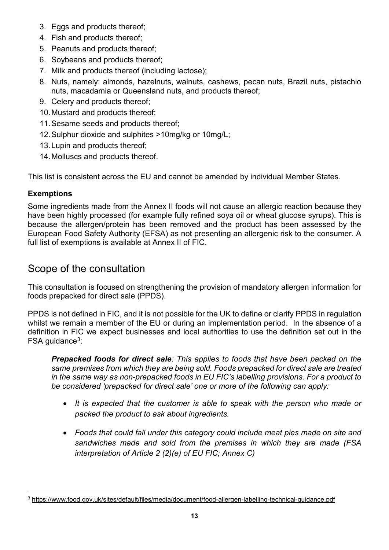- 3. Eggs and products thereof;
- 4. Fish and products thereof;
- 5. Peanuts and products thereof;
- 6. Soybeans and products thereof;
- 7. Milk and products thereof (including lactose);
- 8. Nuts, namely: almonds, hazelnuts, walnuts, cashews, pecan nuts, Brazil nuts, pistachio nuts, macadamia or Queensland nuts, and products thereof;
- 9. Celery and products thereof;
- 10.Mustard and products thereof;
- 11.Sesame seeds and products thereof;
- 12.Sulphur dioxide and sulphites >10mg/kg or 10mg/L;
- 13.Lupin and products thereof;
- 14.Molluscs and products thereof.

This list is consistent across the EU and cannot be amended by individual Member States.

## **Exemptions**

Some ingredients made from the Annex II foods will not cause an allergic reaction because they have been highly processed (for example fully refined soya oil or wheat glucose syrups). This is because the allergen/protein has been removed and the product has been assessed by the European Food Safety Authority (EFSA) as not presenting an allergenic risk to the consumer. A full list of exemptions is available at Annex II of FIC.

# Scope of the consultation

This consultation is focused on strengthening the provision of mandatory allergen information for foods prepacked for direct sale (PPDS).

PPDS is not defined in FIC, and it is not possible for the UK to define or clarify PPDS in regulation whilst we remain a member of the EU or during an implementation period. In the absence of a definition in FIC we expect businesses and local authorities to use the definition set out in the FSA guidance<sup>3</sup>:

*Prepacked foods for direct sale: This applies to foods that have been packed on the same premises from which they are being sold. Foods prepacked for direct sale are treated in the same way as non-prepacked foods in EU FIC's labelling provisions. For a product to be considered 'prepacked for direct sale' one or more of the following can apply:*

- *It is expected that the customer is able to speak with the person who made or packed the product to ask about ingredients.*
- *Foods that could fall under this category could include meat pies made on site and sandwiches made and sold from the premises in which they are made (FSA interpretation of Article 2 (2)(e) of EU FIC; Annex C)*

<span id="page-12-0"></span> $\overline{a}$ <sup>3</sup> <https://www.food.gov.uk/sites/default/files/media/document/food-allergen-labelling-technical-guidance.pdf>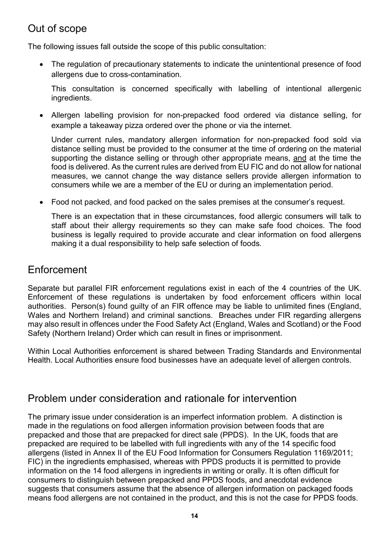# Out of scope

The following issues fall outside the scope of this public consultation:

• The regulation of precautionary statements to indicate the unintentional presence of food allergens due to cross-contamination.

This consultation is concerned specifically with labelling of intentional allergenic ingredients.

• Allergen labelling provision for non-prepacked food ordered via distance selling, for example a takeaway pizza ordered over the phone or via the internet.

Under current rules, mandatory allergen information for non-prepacked food sold via distance selling must be provided to the consumer at the time of ordering on the material supporting the distance selling or through other appropriate means, and at the time the food is delivered. As the current rules are derived from EU FIC and do not allow for national measures, we cannot change the way distance sellers provide allergen information to consumers while we are a member of the EU or during an implementation period.

• Food not packed, and food packed on the sales premises at the consumer's request.

There is an expectation that in these circumstances, food allergic consumers will talk to staff about their allergy requirements so they can make safe food choices. The food business is legally required to provide accurate and clear information on food allergens making it a dual responsibility to help safe selection of foods.

# Enforcement

Separate but parallel FIR enforcement regulations exist in each of the 4 countries of the UK. Enforcement of these regulations is undertaken by food enforcement officers within local authorities. Person(s) found guilty of an FIR offence may be liable to unlimited fines (England, Wales and Northern Ireland) and criminal sanctions. Breaches under FIR regarding allergens may also result in offences under the Food Safety Act (England, Wales and Scotland) or the Food Safety (Northern Ireland) Order which can result in fines or imprisonment.

Within Local Authorities enforcement is shared between Trading Standards and Environmental Health. Local Authorities ensure food businesses have an adequate level of allergen controls.

# Problem under consideration and rationale for intervention

The primary issue under consideration is an imperfect information problem. A distinction is made in the regulations on food allergen information provision between foods that are prepacked and those that are prepacked for direct sale (PPDS). In the UK, foods that are prepacked are required to be labelled with full ingredients with any of the 14 specific food allergens (listed in Annex II of the EU Food Information for Consumers Regulation 1169/2011; FIC) in the ingredients emphasised, whereas with PPDS products it is permitted to provide information on the 14 food allergens in ingredients in writing or orally. It is often difficult for consumers to distinguish between prepacked and PPDS foods, and anecdotal evidence suggests that consumers assume that the absence of allergen information on packaged foods means food allergens are not contained in the product, and this is not the case for PPDS foods.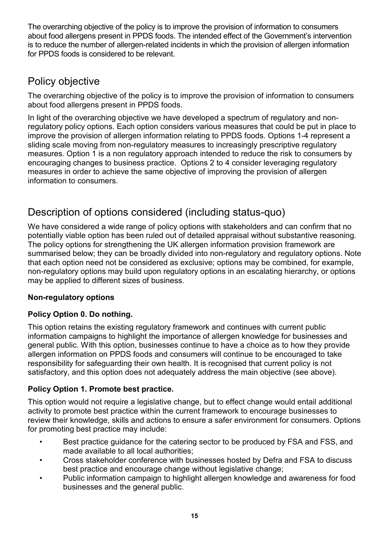The overarching objective of the policy is to improve the provision of information to consumers about food allergens present in PPDS foods. The intended effect of the Government's intervention is to reduce the number of allergen-related incidents in which the provision of allergen information for PPDS foods is considered to be relevant.

# Policy objective

The overarching objective of the policy is to improve the provision of information to consumers about food allergens present in PPDS foods.

In light of the overarching objective we have developed a spectrum of regulatory and nonregulatory policy options. Each option considers various measures that could be put in place to improve the provision of allergen information relating to PPDS foods. Options 1-4 represent a sliding scale moving from non-regulatory measures to increasingly prescriptive regulatory measures. Option 1 is a non regulatory approach intended to reduce the risk to consumers by encouraging changes to business practice. Options 2 to 4 consider leveraging regulatory measures in order to achieve the same objective of improving the provision of allergen information to consumers.

# Description of options considered (including status-quo)

We have considered a wide range of policy options with stakeholders and can confirm that no potentially viable option has been ruled out of detailed appraisal without substantive reasoning. The policy options for strengthening the UK allergen information provision framework are summarised below; they can be broadly divided into non-regulatory and regulatory options. Note that each option need not be considered as exclusive; options may be combined, for example, non-regulatory options may build upon regulatory options in an escalating hierarchy, or options may be applied to different sizes of business.

## **Non-regulatory options**

## **Policy Option 0. Do nothing.**

This option retains the existing regulatory framework and continues with current public information campaigns to highlight the importance of allergen knowledge for businesses and general public. With this option, businesses continue to have a choice as to how they provide allergen information on PPDS foods and consumers will continue to be encouraged to take responsibility for safeguarding their own health. It is recognised that current policy is not satisfactory, and this option does not adequately address the main objective (see above).

## **Policy Option 1. Promote best practice.**

This option would not require a legislative change, but to effect change would entail additional activity to promote best practice within the current framework to encourage businesses to review their knowledge, skills and actions to ensure a safer environment for consumers. Options for promoting best practice may include:

- Best practice guidance for the catering sector to be produced by FSA and FSS, and made available to all local authorities;
- Cross stakeholder conference with businesses hosted by Defra and FSA to discuss best practice and encourage change without legislative change;
- Public information campaign to highlight allergen knowledge and awareness for food businesses and the general public.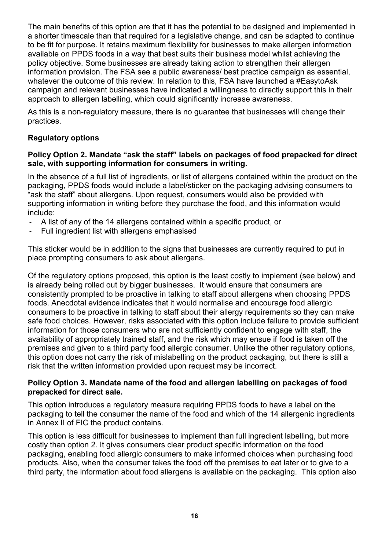The main benefits of this option are that it has the potential to be designed and implemented in a shorter timescale than that required for a legislative change, and can be adapted to continue to be fit for purpose. It retains maximum flexibility for businesses to make allergen information available on PPDS foods in a way that best suits their business model whilst achieving the policy objective. Some businesses are already taking action to strengthen their allergen information provision. The FSA see a public awareness/ best practice campaign as essential, whatever the outcome of this review. In relation to this, FSA have launched a #EasytoAsk campaign and relevant businesses have indicated a willingness to directly support this in their approach to allergen labelling, which could significantly increase awareness.

As this is a non-regulatory measure, there is no guarantee that businesses will change their practices.

### **Regulatory options**

#### **Policy Option 2. Mandate "ask the staff" labels on packages of food prepacked for direct sale, with supporting information for consumers in writing.**

In the absence of a full list of ingredients, or list of allergens contained within the product on the packaging, PPDS foods would include a label/sticker on the packaging advising consumers to "ask the staff" about allergens. Upon request, consumers would also be provided with supporting information in writing before they purchase the food, and this information would include:

- A list of any of the 14 allergens contained within a specific product, or
- Full ingredient list with allergens emphasised

This sticker would be in addition to the signs that businesses are currently required to put in place prompting consumers to ask about allergens.

Of the regulatory options proposed, this option is the least costly to implement (see below) and is already being rolled out by bigger businesses. It would ensure that consumers are consistently prompted to be proactive in talking to staff about allergens when choosing PPDS foods. Anecdotal evidence indicates that it would normalise and encourage food allergic consumers to be proactive in talking to staff about their allergy requirements so they can make safe food choices. However, risks associated with this option include failure to provide sufficient information for those consumers who are not sufficiently confident to engage with staff, the availability of appropriately trained staff, and the risk which may ensue if food is taken off the premises and given to a third party food allergic consumer. Unlike the other regulatory options, this option does not carry the risk of mislabelling on the product packaging, but there is still a risk that the written information provided upon request may be incorrect.

#### **Policy Option 3. Mandate name of the food and allergen labelling on packages of food prepacked for direct sale.**

This option introduces a regulatory measure requiring PPDS foods to have a label on the packaging to tell the consumer the name of the food and which of the 14 allergenic ingredients in Annex II of FIC the product contains.

This option is less difficult for businesses to implement than full ingredient labelling, but more costly than option 2. It gives consumers clear product specific information on the food packaging, enabling food allergic consumers to make informed choices when purchasing food products. Also, when the consumer takes the food off the premises to eat later or to give to a third party, the information about food allergens is available on the packaging. This option also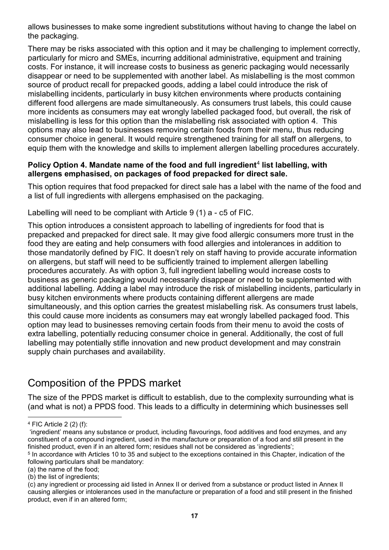allows businesses to make some ingredient substitutions without having to change the label on the packaging.

There may be risks associated with this option and it may be challenging to implement correctly, particularly for micro and SMEs, incurring additional administrative, equipment and training costs. For instance, it will increase costs to business as generic packaging would necessarily disappear or need to be supplemented with another label. As mislabelling is the most common source of product recall for prepacked goods, adding a label could introduce the risk of mislabelling incidents, particularly in busy kitchen environments where products containing different food allergens are made simultaneously. As consumers trust labels, this could cause more incidents as consumers may eat wrongly labelled packaged food, but overall, the risk of mislabelling is less for this option than the mislabelling risk associated with option 4. This options may also lead to businesses removing certain foods from their menu, thus reducing consumer choice in general. It would require strengthened training for all staff on allergens, to equip them with the knowledge and skills to implement allergen labelling procedures accurately.

#### **Policy Option 4. Mandate name of the food and full ingredient**[4](#page-16-0) **list labelling, with allergens emphasised, on packages of food prepacked for direct sale.**

This option requires that food prepacked for direct sale has a label with the name of the food and a list of full ingredients with allergens emphasised on the packaging.

Labelling will need to be compliant with Article 9 (1) a - c[5](#page-16-1) of FIC.

This option introduces a consistent approach to labelling of ingredients for food that is prepacked and prepacked for direct sale. It may give food allergic consumers more trust in the food they are eating and help consumers with food allergies and intolerances in addition to those mandatorily defined by FIC. It doesn't rely on staff having to provide accurate information on allergens, but staff will need to be sufficiently trained to implement allergen labelling procedures accurately. As with option 3, full ingredient labelling would increase costs to business as generic packaging would necessarily disappear or need to be supplemented with additional labelling. Adding a label may introduce the risk of mislabelling incidents, particularly in busy kitchen environments where products containing different allergens are made simultaneously, and this option carries the greatest mislabelling risk. As consumers trust labels, this could cause more incidents as consumers may eat wrongly labelled packaged food. This option may lead to businesses removing certain foods from their menu to avoid the costs of extra labelling, potentially reducing consumer choice in general. Additionally, the cost of full labelling may potentially stifle innovation and new product development and may constrain supply chain purchases and availability.

# Composition of the PPDS market

The size of the PPDS market is difficult to establish, due to the complexity surrounding what is (and what is not) a PPDS food. This leads to a difficulty in determining which businesses sell

 $\overline{a}$ <sup>4</sup> FIC Article 2 (2) (f):

<span id="page-16-0"></span><sup>&#</sup>x27;ingredient' means any substance or product, including flavourings, food additives and food enzymes, and any constituent of a compound ingredient, used in the manufacture or preparation of a food and still present in the finished product, even if in an altered form; residues shall not be considered as 'ingredients';

<span id="page-16-1"></span><sup>5</sup> In accordance with Articles 10 to 35 and subject to the exceptions contained in this Chapter, indication of the following particulars shall be mandatory:

<sup>(</sup>a) the name of the food;

<sup>(</sup>b) the list of ingredients;

<sup>(</sup>c) any ingredient or processing aid listed in Annex II or derived from a substance or product listed in Annex II causing allergies or intolerances used in the manufacture or preparation of a food and still present in the finished product, even if in an altered form;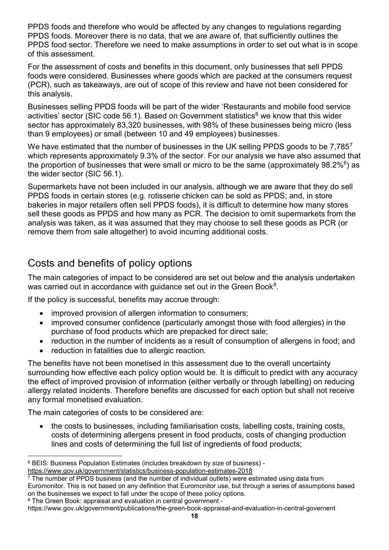PPDS foods and therefore who would be affected by any changes to regulations regarding PPDS foods. Moreover there is no data, that we are aware of, that sufficiently outlines the PPDS food sector. Therefore we need to make assumptions in order to set out what is in scope of this assessment.

For the assessment of costs and benefits in this document, only businesses that sell PPDS foods were considered. Businesses where goods which are packed at the consumers request (PCR), such as takeaways, are out of scope of this review and have not been considered for this analysis.

Businesses selling PPDS foods will be part of the wider 'Restaurants and mobile food service activities' sector (SIC code 5[6](#page-17-0).1). Based on Government statistics<sup>6</sup> we know that this wider sector has approximately 83,320 businesses, with 98% of these businesses being micro (less than 9 employees) or small (between 10 and 49 employees) businesses.

We have estimated that the number of businesses in the UK selling PPDS goods to be 7,785<sup>7</sup> which represents approximately 9.3% of the sector. For our analysis we have also assumed that the proportion of businesses that were small or micro to be the same (approximately  $98.2\%$ ) as the wider sector (SIC 56.1).

Supermarkets have not been included in our analysis, although we are aware that they do sell PPDS foods in certain stores (e.g. rotisserie chicken can be sold as PPDS; and, in store bakeries in major retailers often sell PPDS foods), it is difficult to determine how many stores sell these goods as PPDS and how many as PCR. The decision to omit supermarkets from the analysis was taken, as it was assumed that they may choose to sell these goods as PCR (or remove them from sale altogether) to avoid incurring additional costs.

# Costs and benefits of policy options

The main categories of impact to be considered are set out below and the analysis undertaken was carried out in accordance with guidance set out in the Green Book<sup>[8](#page-17-2)</sup>.

If the policy is successful, benefits may accrue through:

- improved provision of allergen information to consumers;
- improved consumer confidence (particularly amongst those with food allergies) in the purchase of food products which are prepacked for direct sale;
- reduction in the number of incidents as a result of consumption of allergens in food; and reduction in fatalities due to allergic reaction.

The benefits have not been monetised in this assessment due to the overall uncertainty surrounding how effective each policy option would be. It is difficult to predict with any accuracy the effect of improved provision of information (either verbally or through labelling) on reducing allergy related incidents. Therefore benefits are discussed for each option but shall not receive any formal monetised evaluation.

The main categories of costs to be considered are:

• the costs to businesses, including familiarisation costs, labelling costs, training costs, costs of determining allergens present in food products, costs of changing production lines and costs of determining the full list of ingredients of food products;

<span id="page-17-0"></span> $\overline{a}$ <sup>6</sup> BEIS: Business Population Estimates (includes breakdown by size of business) -

<span id="page-17-1"></span>https://www.gov.uk/government/statistics/business-population-estimates-2018<br>7 The number of PPDS business (and the number of individual outlets) were estimated using data from Euromonitor. This is not based on any definition that Euromonitor use, but through a series of assumptions based on the businesses we expect to fall under the scope of these policy options. <sup>8</sup> The Green Book: appraisal and evaluation in central government -

<span id="page-17-2"></span>https://www.gov.uk/government/publications/the-green-book-appraisal-and-evaluation-in-central-governent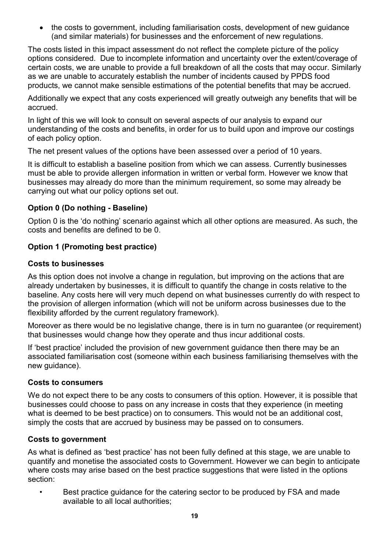• the costs to government, including familiarisation costs, development of new guidance (and similar materials) for businesses and the enforcement of new regulations.

The costs listed in this impact assessment do not reflect the complete picture of the policy options considered. Due to incomplete information and uncertainty over the extent/coverage of certain costs, we are unable to provide a full breakdown of all the costs that may occur. Similarly as we are unable to accurately establish the number of incidents caused by PPDS food products, we cannot make sensible estimations of the potential benefits that may be accrued.

Additionally we expect that any costs experienced will greatly outweigh any benefits that will be accrued.

In light of this we will look to consult on several aspects of our analysis to expand our understanding of the costs and benefits, in order for us to build upon and improve our costings of each policy option.

The net present values of the options have been assessed over a period of 10 years.

It is difficult to establish a baseline position from which we can assess. Currently businesses must be able to provide allergen information in written or verbal form. However we know that businesses may already do more than the minimum requirement, so some may already be carrying out what our policy options set out.

### **Option 0 (Do nothing - Baseline)**

Option 0 is the 'do nothing' scenario against which all other options are measured. As such, the costs and benefits are defined to be 0.

#### **Option 1 (Promoting best practice)**

#### **Costs to businesses**

As this option does not involve a change in regulation, but improving on the actions that are already undertaken by businesses, it is difficult to quantify the change in costs relative to the baseline. Any costs here will very much depend on what businesses currently do with respect to the provision of allergen information (which will not be uniform across businesses due to the flexibility afforded by the current regulatory framework).

Moreover as there would be no legislative change, there is in turn no guarantee (or requirement) that businesses would change how they operate and thus incur additional costs.

If 'best practice' included the provision of new government guidance then there may be an associated familiarisation cost (someone within each business familiarising themselves with the new guidance).

#### **Costs to consumers**

We do not expect there to be any costs to consumers of this option. However, it is possible that businesses could choose to pass on any increase in costs that they experience (in meeting what is deemed to be best practice) on to consumers. This would not be an additional cost, simply the costs that are accrued by business may be passed on to consumers.

#### **Costs to government**

As what is defined as 'best practice' has not been fully defined at this stage, we are unable to quantify and monetise the associated costs to Government. However we can begin to anticipate where costs may arise based on the best practice suggestions that were listed in the options section:

• Best practice guidance for the catering sector to be produced by FSA and made available to all local authorities;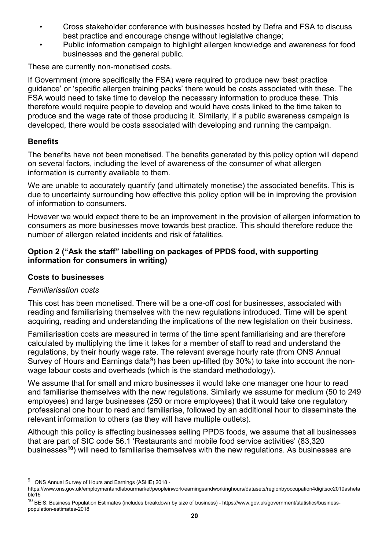- Cross stakeholder conference with businesses hosted by Defra and FSA to discuss best practice and encourage change without legislative change;
- Public information campaign to highlight allergen knowledge and awareness for food businesses and the general public.

These are currently non-monetised costs.

If Government (more specifically the FSA) were required to produce new 'best practice guidance' or 'specific allergen training packs' there would be costs associated with these. The FSA would need to take time to develop the necessary information to produce these. This therefore would require people to develop and would have costs linked to the time taken to produce and the wage rate of those producing it. Similarly, if a public awareness campaign is developed, there would be costs associated with developing and running the campaign.

### **Benefits**

The benefits have not been monetised. The benefits generated by this policy option will depend on several factors, including the level of awareness of the consumer of what allergen information is currently available to them.

We are unable to accurately quantify (and ultimately monetise) the associated benefits. This is due to uncertainty surrounding how effective this policy option will be in improving the provision of information to consumers.

However we would expect there to be an improvement in the provision of allergen information to consumers as more businesses move towards best practice. This should therefore reduce the number of allergen related incidents and risk of fatalities.

#### **Option 2 ("Ask the staff" labelling on packages of PPDS food, with supporting information for consumers in writing)**

### **Costs to businesses**

### *Familiarisation costs*

 $\overline{a}$ 

This cost has been monetised. There will be a one-off cost for businesses, associated with reading and familiarising themselves with the new regulations introduced. Time will be spent acquiring, reading and understanding the implications of the new legislation on their business.

Familiarisation costs are measured in terms of the time spent familiarising and are therefore calculated by multiplying the time it takes for a member of staff to read and understand the regulations, by their hourly wage rate. The relevant average hourly rate (from ONS Annual Survey of Hours and Earnings data<sup>[9](#page-19-0)</sup>) has been up-lifted (by 30%) to take into account the nonwage labour costs and overheads (which is the standard methodology).

We assume that for small and micro businesses it would take one manager one hour to read and familiarise themselves with the new regulations. Similarly we assume for medium (50 to 249 employees) and large businesses (250 or more employees) that it would take one regulatory professional one hour to read and familiarise, followed by an additional hour to disseminate the relevant information to others (as they will have multiple outlets).

Although this policy is affecting businesses selling PPDS foods, we assume that all businesses that are part of SIC code 56.1 'Restaurants and mobile food service activities' (83,320 businesses**[10](#page-19-1)**) will need to familiarise themselves with the new regulations. As businesses are

<span id="page-19-0"></span><sup>9</sup> ONS Annual Survey of Hours and Earnings (ASHE) 2018 -

https://www.ons.gov.uk/employmentandlabourmarket/peopleinwork/earningsandworkinghours/datasets/regionbyoccupation4digitsoc2010asheta ble15

<span id="page-19-1"></span><sup>&</sup>lt;sup>10</sup> BEIS: Business Population Estimates (includes breakdown by size of business) - https://www.gov.uk/government/statistics/businesspopulation-estimates-2018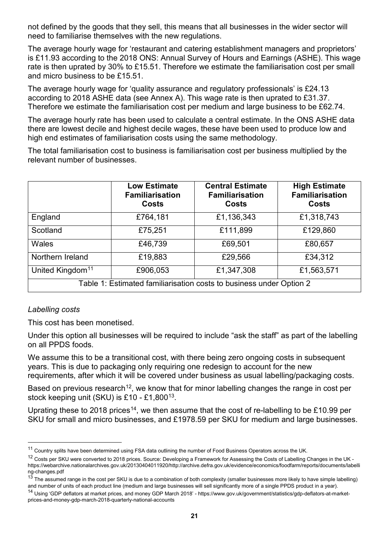not defined by the goods that they sell, this means that all businesses in the wider sector will need to familiarise themselves with the new regulations.

The average hourly wage for 'restaurant and catering establishment managers and proprietors' is £11.93 according to the 2018 ONS: Annual Survey of Hours and Earnings (ASHE). This wage rate is then uprated by 30% to £15.51. Therefore we estimate the familiarisation cost per small and micro business to be £15.51.

The average hourly wage for 'quality assurance and regulatory professionals' is £24.13 according to 2018 ASHE data (see Annex A). This wage rate is then uprated to £31.37. Therefore we estimate the familiarisation cost per medium and large business to be £62.74.

The average hourly rate has been used to calculate a central estimate. In the ONS ASHE data there are lowest decile and highest decile wages, these have been used to produce low and high end estimates of familiarisation costs using the same methodology.

The total familiarisation cost to business is familiarisation cost per business multiplied by the relevant number of businesses.

|                                                                     | <b>Low Estimate</b><br><b>Familiarisation</b><br><b>Costs</b> | <b>Central Estimate</b><br><b>Familiarisation</b><br><b>Costs</b> | <b>High Estimate</b><br><b>Familiarisation</b><br><b>Costs</b> |  |
|---------------------------------------------------------------------|---------------------------------------------------------------|-------------------------------------------------------------------|----------------------------------------------------------------|--|
| England                                                             | £764,181                                                      | £1,136,343                                                        | £1,318,743                                                     |  |
| Scotland                                                            | £75,251                                                       | £111,899                                                          | £129,860                                                       |  |
| Wales                                                               | £46,739                                                       | £69,501                                                           | £80,657                                                        |  |
| Northern Ireland                                                    | £19,883                                                       | £29,566                                                           | £34,312                                                        |  |
| United Kingdom <sup>11</sup>                                        | £906,053                                                      | £1,347,308                                                        | £1,563,571                                                     |  |
| Table 1: Estimated familiarisation costs to business under Option 2 |                                                               |                                                                   |                                                                |  |

### *Labelling costs*

 $\overline{a}$ 

This cost has been monetised.

Under this option all businesses will be required to include "ask the staff" as part of the labelling on all PPDS foods.

We assume this to be a transitional cost, with there being zero ongoing costs in subsequent years. This is due to packaging only requiring one redesign to account for the new requirements, after which it will be covered under business as usual labelling/packaging costs.

Based on previous research<sup>12</sup>, we know that for minor labelling changes the range in cost per stock keeping unit (SKU) is £10 - £1,800<sup>13</sup>.

Uprating these to 2018 prices<sup>14</sup>, we then assume that the cost of re-labelling to be £10.99 per SKU for small and micro businesses, and £1978.59 per SKU for medium and large businesses.

<span id="page-20-0"></span><sup>11</sup> Country splits have been determined using FSA data outlining the number of Food Business Operators across the UK.

<span id="page-20-1"></span> $12$  Costs per SKU were converted to 2018 prices. Source: Developing a Framework for Assessing the Costs of Labelling Changes in the UK https://webarchive.nationalarchives.gov.uk/20130404011920/http://archive.defra.gov.uk/evidence/economics/foodfarm/reports/documents/labelli ng-changes.pdf

<span id="page-20-2"></span><sup>&</sup>lt;sup>13</sup> The assumed range in the cost per SKU is due to a combination of both complexity (smaller businesses more likely to have simple labelling) and number of units of each product line (medium and large businesses will sell significantly more of a single PPDS product in a year).

<span id="page-20-3"></span><sup>14</sup> Using 'GDP deflators at market prices, and money GDP March 2018' - https://www.gov.uk/government/statistics/gdp-deflators-at-marketprices-and-money-gdp-march-2018-quarterly-national-accounts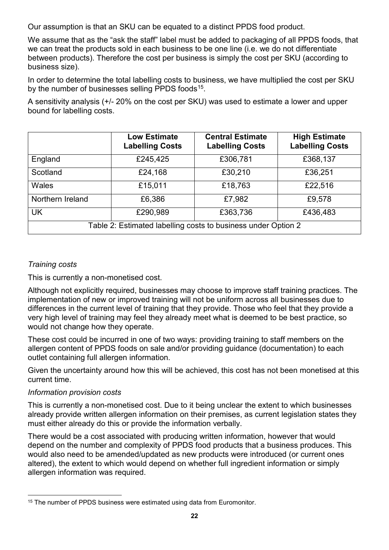Our assumption is that an SKU can be equated to a distinct PPDS food product.

We assume that as the "ask the staff" label must be added to packaging of all PPDS foods, that we can treat the products sold in each business to be one line (i.e. we do not differentiate between products). Therefore the cost per business is simply the cost per SKU (according to business size).

In order to determine the total labelling costs to business, we have multiplied the cost per SKU by the number of businesses selling PPDS foods<sup>15</sup>.

A sensitivity analysis (+/- 20% on the cost per SKU) was used to estimate a lower and upper bound for labelling costs.

|                                                               | <b>Low Estimate</b><br><b>Labelling Costs</b> | <b>Central Estimate</b><br><b>Labelling Costs</b> | <b>High Estimate</b><br><b>Labelling Costs</b> |  |
|---------------------------------------------------------------|-----------------------------------------------|---------------------------------------------------|------------------------------------------------|--|
| England                                                       | £245,425                                      | £306,781                                          | £368,137                                       |  |
| Scotland                                                      | £24,168                                       | £30,210                                           | £36,251                                        |  |
| Wales                                                         | £15,011                                       | £18,763                                           | £22,516                                        |  |
| Northern Ireland                                              | £6,386                                        | £7,982                                            | £9,578                                         |  |
| <b>UK</b>                                                     | £290,989                                      | £363,736                                          | £436,483                                       |  |
| Table 2: Estimated labelling costs to business under Option 2 |                                               |                                                   |                                                |  |

### *Training costs*

This is currently a non-monetised cost.

Although not explicitly required, businesses may choose to improve staff training practices. The implementation of new or improved training will not be uniform across all businesses due to differences in the current level of training that they provide. Those who feel that they provide a very high level of training may feel they already meet what is deemed to be best practice, so would not change how they operate.

These cost could be incurred in one of two ways: providing training to staff members on the allergen content of PPDS foods on sale and/or providing guidance (documentation) to each outlet containing full allergen information.

Given the uncertainty around how this will be achieved, this cost has not been monetised at this current time.

### *Information provision costs*

This is currently a non-monetised cost. Due to it being unclear the extent to which businesses already provide written allergen information on their premises, as current legislation states they must either already do this or provide the information verbally.

There would be a cost associated with producing written information, however that would depend on the number and complexity of PPDS food products that a business produces. This would also need to be amended/updated as new products were introduced (or current ones altered), the extent to which would depend on whether full ingredient information or simply allergen information was required.

<span id="page-21-0"></span> $\overline{a}$ <sup>15</sup> The number of PPDS business were estimated using data from Euromonitor.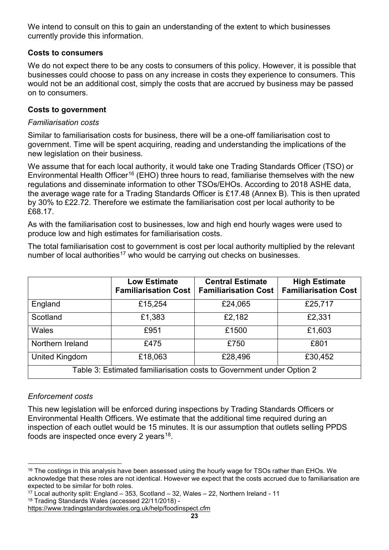We intend to consult on this to gain an understanding of the extent to which businesses currently provide this information.

### **Costs to consumers**

We do not expect there to be any costs to consumers of this policy. However, it is possible that businesses could choose to pass on any increase in costs they experience to consumers. This would not be an additional cost, simply the costs that are accrued by business may be passed on to consumers.

### **Costs to government**

#### *Familiarisation costs*

Similar to familiarisation costs for business, there will be a one-off familiarisation cost to government. Time will be spent acquiring, reading and understanding the implications of the new legislation on their business.

We assume that for each local authority, it would take one Trading Standards Officer (TSO) or Environmental Health Officer<sup>[16](#page-22-0)</sup> (EHO) three hours to read, familiarise themselves with the new regulations and disseminate information to other TSOs/EHOs. According to 2018 ASHE data, the average wage rate for a Trading Standards Officer is £17.48 (Annex B). This is then uprated by 30% to £22.72. Therefore we estimate the familiarisation cost per local authority to be £68.17.

As with the familiarisation cost to businesses, low and high end hourly wages were used to produce low and high estimates for familiarisation costs.

The total familiarisation cost to government is cost per local authority multiplied by the relevant number of local authorities<sup>[17](#page-22-1)</sup> who would be carrying out checks on businesses.

|                  | <b>Low Estimate</b><br><b>Familiarisation Cost</b>                    | <b>Central Estimate</b><br><b>Familiarisation Cost</b> | <b>High Estimate</b><br><b>Familiarisation Cost</b> |
|------------------|-----------------------------------------------------------------------|--------------------------------------------------------|-----------------------------------------------------|
| England          | £15,254                                                               | £24,065                                                | £25,717                                             |
| Scotland         | £1,383                                                                | £2,182                                                 | £2,331                                              |
| Wales            | £951                                                                  | £1500                                                  | £1,603                                              |
| Northern Ireland | £475                                                                  | £750                                                   | £801                                                |
| United Kingdom   | £18,063                                                               | £28,496                                                | £30,452                                             |
|                  | Table 3: Estimated familiarisation costs to Government under Option 2 |                                                        |                                                     |

### *Enforcement costs*

This new legislation will be enforced during inspections by Trading Standards Officers or Environmental Health Officers. We estimate that the additional time required during an inspection of each outlet would be 15 minutes. It is our assumption that outlets selling PPDS foods are inspected once every 2 years  $18$ .

<span id="page-22-0"></span> $\overline{a}$ <sup>16</sup> The costings in this analysis have been assessed using the hourly wage for TSOs rather than EHOs. We acknowledge that these roles are not identical. However we expect that the costs accrued due to familiarisation are expected to be similar for both roles.

<span id="page-22-1"></span><sup>17</sup> Local authority split: England – 353, Scotland – 32, Wales – 22, Northern Ireland - 11

<span id="page-22-2"></span><sup>18</sup> Trading Standards Wales (accessed 22/11/2018) -

<https://www.tradingstandardswales.org.uk/help/foodinspect.cfm>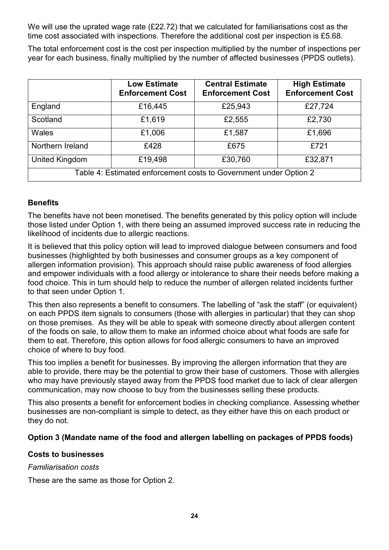We will use the uprated wage rate (£22.72) that we calculated for familiarisations cost as the time cost associated with inspections. Therefore the additional cost per inspection is £5.68.

The total enforcement cost is the cost per inspection multiplied by the number of inspections per year for each business, finally multiplied by the number of affected businesses (PPDS outlets).

|                                                                   | <b>Low Estimate</b><br><b>Enforcement Cost</b> | <b>Central Estimate</b><br><b>Enforcement Cost</b> | <b>High Estimate</b><br><b>Enforcement Cost</b> |  |
|-------------------------------------------------------------------|------------------------------------------------|----------------------------------------------------|-------------------------------------------------|--|
| England                                                           | £16,445                                        | £25,943                                            | £27,724                                         |  |
| Scotland                                                          | £1,619                                         | £2,555                                             | £2,730                                          |  |
| Wales                                                             | £1,006                                         | £1,587                                             | £1,696                                          |  |
| Northern Ireland                                                  | £428                                           | £675                                               | £721                                            |  |
| <b>United Kingdom</b>                                             | £19,498                                        | £30,760                                            | £32,871                                         |  |
| Table 4: Estimated enforcement costs to Government under Option 2 |                                                |                                                    |                                                 |  |

### **Benefits**

The benefits have not been monetised. The benefits generated by this policy option will include those listed under Option 1, with there being an assumed improved success rate in reducing the likelihood of incidents due to allergic reactions.

It is believed that this policy option will lead to improved dialogue between consumers and food businesses (highlighted by both businesses and consumer groups as a key component of allergen information provision). This approach should raise public awareness of food allergies and empower individuals with a food allergy or intolerance to share their needs before making a food choice. This in turn should help to reduce the number of allergen related incidents further to that seen under Option 1.

This then also represents a benefit to consumers. The labelling of "ask the staff" (or equivalent) on each PPDS item signals to consumers (those with allergies in particular) that they can shop on those premises. As they will be able to speak with someone directly about allergen content of the foods on sale, to allow them to make an informed choice about what foods are safe for them to eat. Therefore, this option allows for food allergic consumers to have an improved choice of where to buy food.

This too implies a benefit for businesses. By improving the allergen information that they are able to provide, there may be the potential to grow their base of customers. Those with allergies who may have previously stayed away from the PPDS food market due to lack of clear allergen communication, may now choose to buy from the businesses selling these products.

This also presents a benefit for enforcement bodies in checking compliance. Assessing whether businesses are non-compliant is simple to detect, as they either have this on each product or they do not.

### **Option 3 (Mandate name of the food and allergen labelling on packages of PPDS foods)**

### **Costs to businesses**

### *Familiarisation costs*

These are the same as those for Option 2.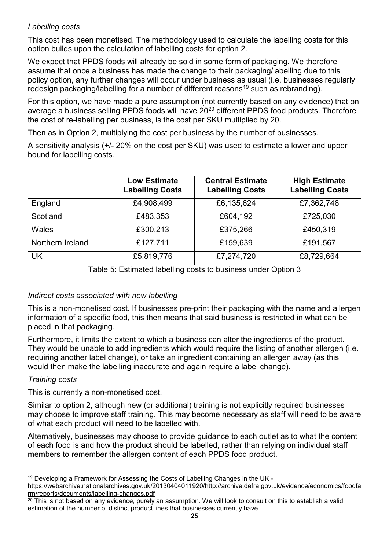### *Labelling costs*

This cost has been monetised. The methodology used to calculate the labelling costs for this option builds upon the calculation of labelling costs for option 2.

We expect that PPDS foods will already be sold in some form of packaging. We therefore assume that once a business has made the change to their packaging/labelling due to this policy option, any further changes will occur under business as usual (i.e. businesses regularly redesign packaging/labelling for a number of different reasons<sup>[19](#page-24-0)</sup> such as rebranding).

For this option, we have made a pure assumption (not currently based on any evidence) that on average a business selling PPDS foods will have [20](#page-24-1)<sup>20</sup> different PPDS food products. Therefore the cost of re-labelling per business, is the cost per SKU multiplied by 20.

Then as in Option 2, multiplying the cost per business by the number of businesses.

A sensitivity analysis (+/- 20% on the cost per SKU) was used to estimate a lower and upper bound for labelling costs.

|                                                               | <b>Low Estimate</b><br><b>Labelling Costs</b> | <b>Central Estimate</b><br><b>Labelling Costs</b> | <b>High Estimate</b><br><b>Labelling Costs</b> |  |
|---------------------------------------------------------------|-----------------------------------------------|---------------------------------------------------|------------------------------------------------|--|
| England                                                       | £4,908,499                                    | £6,135,624                                        | £7,362,748                                     |  |
| Scotland                                                      | £483,353                                      | £604,192                                          | £725,030                                       |  |
| <b>Wales</b>                                                  | £300,213                                      | £375,266                                          | £450,319                                       |  |
| Northern Ireland                                              | £127,711                                      | £159,639                                          | £191,567                                       |  |
| <b>UK</b>                                                     | £5,819,776                                    | £7,274,720                                        | £8,729,664                                     |  |
| Table 5: Estimated labelling costs to business under Option 3 |                                               |                                                   |                                                |  |

### *Indirect costs associated with new labelling*

This is a non-monetised cost. If businesses pre-print their packaging with the name and allergen information of a specific food, this then means that said business is restricted in what can be placed in that packaging.

Furthermore, it limits the extent to which a business can alter the ingredients of the product. They would be unable to add ingredients which would require the listing of another allergen (i.e. requiring another label change), or take an ingredient containing an allergen away (as this would then make the labelling inaccurate and again require a label change).

### *Training costs*

 $\overline{a}$ 

This is currently a non-monetised cost.

Similar to option 2, although new (or additional) training is not explicitly required businesses may choose to improve staff training. This may become necessary as staff will need to be aware of what each product will need to be labelled with.

Alternatively, businesses may choose to provide guidance to each outlet as to what the content of each food is and how the product should be labelled, rather than relying on individual staff members to remember the allergen content of each PPDS food product.

<span id="page-24-0"></span><sup>19</sup> Developing a Framework for Assessing the Costs of Labelling Changes in the UK -

[https://webarchive.nationalarchives.gov.uk/20130404011920/http://archive.defra.gov.uk/evidence/economics/foodfa](https://webarchive.nationalarchives.gov.uk/20130404011920/http:/archive.defra.gov.uk/evidence/economics/foodfarm/reports/documents/labelling-changes.pdf)<br>m/reports/documents/labelling-changes.pdf

<span id="page-24-1"></span><sup>&</sup>lt;sup>20</sup> This is not based on any evidence, purely an assumption. We will look to consult on this to establish a valid estimation of the number of distinct product lines that businesses currently have.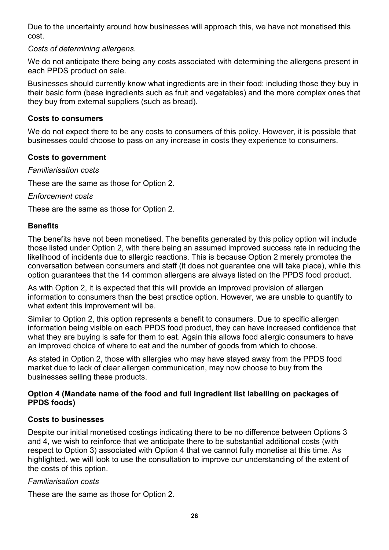Due to the uncertainty around how businesses will approach this, we have not monetised this cost.

#### *Costs of determining allergens.*

We do not anticipate there being any costs associated with determining the allergens present in each PPDS product on sale.

Businesses should currently know what ingredients are in their food: including those they buy in their basic form (base ingredients such as fruit and vegetables) and the more complex ones that they buy from external suppliers (such as bread).

#### **Costs to consumers**

We do not expect there to be any costs to consumers of this policy. However, it is possible that businesses could choose to pass on any increase in costs they experience to consumers.

#### **Costs to government**

*Familiarisation costs*

These are the same as those for Option 2.

*Enforcement costs*

These are the same as those for Option 2.

#### **Benefits**

The benefits have not been monetised. The benefits generated by this policy option will include those listed under Option 2, with there being an assumed improved success rate in reducing the likelihood of incidents due to allergic reactions. This is because Option 2 merely promotes the conversation between consumers and staff (it does not guarantee one will take place), while this option guarantees that the 14 common allergens are always listed on the PPDS food product.

As with Option 2, it is expected that this will provide an improved provision of allergen information to consumers than the best practice option. However, we are unable to quantify to what extent this improvement will be.

Similar to Option 2, this option represents a benefit to consumers. Due to specific allergen information being visible on each PPDS food product, they can have increased confidence that what they are buying is safe for them to eat. Again this allows food allergic consumers to have an improved choice of where to eat and the number of goods from which to choose.

As stated in Option 2, those with allergies who may have stayed away from the PPDS food market due to lack of clear allergen communication, may now choose to buy from the businesses selling these products.

#### **Option 4 (Mandate name of the food and full ingredient list labelling on packages of PPDS foods)**

### **Costs to businesses**

Despite our initial monetised costings indicating there to be no difference between Options 3 and 4, we wish to reinforce that we anticipate there to be substantial additional costs (with respect to Option 3) associated with Option 4 that we cannot fully monetise at this time. As highlighted, we will look to use the consultation to improve our understanding of the extent of the costs of this option.

#### *Familiarisation costs*

These are the same as those for Option 2.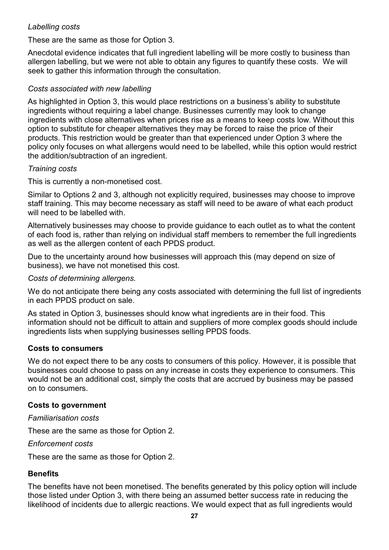### *Labelling costs*

These are the same as those for Option 3.

Anecdotal evidence indicates that full ingredient labelling will be more costly to business than allergen labelling, but we were not able to obtain any figures to quantify these costs. We will seek to gather this information through the consultation.

#### *Costs associated with new labelling*

As highlighted in Option 3, this would place restrictions on a business's ability to substitute ingredients without requiring a label change. Businesses currently may look to change ingredients with close alternatives when prices rise as a means to keep costs low. Without this option to substitute for cheaper alternatives they may be forced to raise the price of their products. This restriction would be greater than that experienced under Option 3 where the policy only focuses on what allergens would need to be labelled, while this option would restrict the addition/subtraction of an ingredient.

#### *Training costs*

#### This is currently a non-monetised cost.

Similar to Options 2 and 3, although not explicitly required, businesses may choose to improve staff training. This may become necessary as staff will need to be aware of what each product will need to be labelled with.

Alternatively businesses may choose to provide guidance to each outlet as to what the content of each food is, rather than relying on individual staff members to remember the full ingredients as well as the allergen content of each PPDS product.

Due to the uncertainty around how businesses will approach this (may depend on size of business), we have not monetised this cost.

#### *Costs of determining allergens.*

We do not anticipate there being any costs associated with determining the full list of ingredients in each PPDS product on sale.

As stated in Option 3, businesses should know what ingredients are in their food. This information should not be difficult to attain and suppliers of more complex goods should include ingredients lists when supplying businesses selling PPDS foods.

#### **Costs to consumers**

We do not expect there to be any costs to consumers of this policy. However, it is possible that businesses could choose to pass on any increase in costs they experience to consumers. This would not be an additional cost, simply the costs that are accrued by business may be passed on to consumers.

#### **Costs to government**

*Familiarisation costs*

These are the same as those for Option 2.

#### *Enforcement costs*

These are the same as those for Option 2.

#### **Benefits**

The benefits have not been monetised. The benefits generated by this policy option will include those listed under Option 3, with there being an assumed better success rate in reducing the likelihood of incidents due to allergic reactions. We would expect that as full ingredients would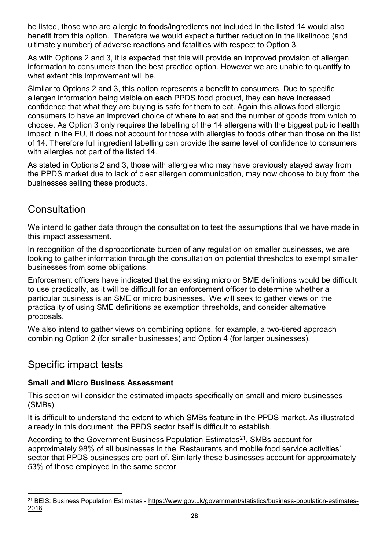be listed, those who are allergic to foods/ingredients not included in the listed 14 would also benefit from this option. Therefore we would expect a further reduction in the likelihood (and ultimately number) of adverse reactions and fatalities with respect to Option 3.

As with Options 2 and 3, it is expected that this will provide an improved provision of allergen information to consumers than the best practice option. However we are unable to quantify to what extent this improvement will be.

Similar to Options 2 and 3, this option represents a benefit to consumers. Due to specific allergen information being visible on each PPDS food product, they can have increased confidence that what they are buying is safe for them to eat. Again this allows food allergic consumers to have an improved choice of where to eat and the number of goods from which to choose. As Option 3 only requires the labelling of the 14 allergens with the biggest public health impact in the EU, it does not account for those with allergies to foods other than those on the list of 14. Therefore full ingredient labelling can provide the same level of confidence to consumers with allergies not part of the listed 14.

As stated in Options 2 and 3, those with allergies who may have previously stayed away from the PPDS market due to lack of clear allergen communication, may now choose to buy from the businesses selling these products.

# **Consultation**

We intend to gather data through the consultation to test the assumptions that we have made in this impact assessment.

In recognition of the disproportionate burden of any regulation on smaller businesses, we are looking to gather information through the consultation on potential thresholds to exempt smaller businesses from some obligations.

Enforcement officers have indicated that the existing micro or SME definitions would be difficult to use practically, as it will be difficult for an enforcement officer to determine whether a particular business is an SME or micro businesses. We will seek to gather views on the practicality of using SME definitions as exemption thresholds, and consider alternative proposals.

We also intend to gather views on combining options, for example, a two-tiered approach combining Option 2 (for smaller businesses) and Option 4 (for larger businesses).

# Specific impact tests

## **Small and Micro Business Assessment**

This section will consider the estimated impacts specifically on small and micro businesses (SMBs).

It is difficult to understand the extent to which SMBs feature in the PPDS market. As illustrated already in this document, the PPDS sector itself is difficult to establish.

According to the Government Business Population Estimates<sup>[21](#page-27-0)</sup>, SMBs account for approximately 98% of all businesses in the 'Restaurants and mobile food service activities' sector that PPDS businesses are part of. Similarly these businesses account for approximately 53% of those employed in the same sector.

<span id="page-27-0"></span> $\overline{a}$ <sup>21</sup> BEIS: Business Population Estimates - [https://www.gov.uk/government/statistics/business-population-estimates-](https://www.gov.uk/government/statistics/business-population-estimates-2018)[2018](https://www.gov.uk/government/statistics/business-population-estimates-2018)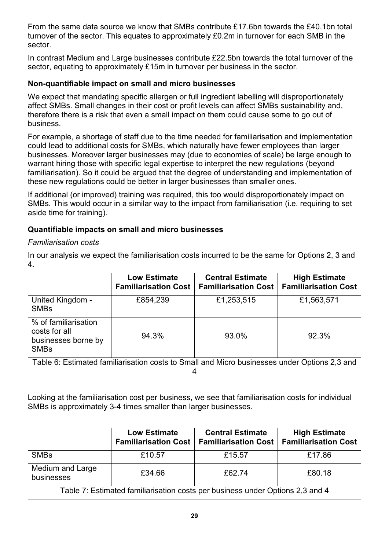From the same data source we know that SMBs contribute £17.6bn towards the £40.1bn total turnover of the sector. This equates to approximately £0.2m in turnover for each SMB in the sector.

In contrast Medium and Large businesses contribute £22.5bn towards the total turnover of the sector, equating to approximately £15m in turnover per business in the sector.

### **Non-quantifiable impact on small and micro businesses**

We expect that mandating specific allergen or full ingredient labelling will disproportionately affect SMBs. Small changes in their cost or profit levels can affect SMBs sustainability and, therefore there is a risk that even a small impact on them could cause some to go out of business.

For example, a shortage of staff due to the time needed for familiarisation and implementation could lead to additional costs for SMBs, which naturally have fewer employees than larger businesses. Moreover larger businesses may (due to economies of scale) be large enough to warrant hiring those with specific legal expertise to interpret the new regulations (beyond familiarisation). So it could be argued that the degree of understanding and implementation of these new regulations could be better in larger businesses than smaller ones.

If additional (or improved) training was required, this too would disproportionately impact on SMBs. This would occur in a similar way to the impact from familiarisation (i.e. requiring to set aside time for training).

### **Quantifiable impacts on small and micro businesses**

### *Familiarisation costs*

In our analysis we expect the familiarisation costs incurred to be the same for Options 2, 3 and 4.

|                                                                                              | <b>Low Estimate</b><br><b>Familiarisation Cost</b> | <b>Central Estimate</b><br><b>Familiarisation Cost</b> | <b>High Estimate</b><br><b>Familiarisation Cost</b> |  |  |
|----------------------------------------------------------------------------------------------|----------------------------------------------------|--------------------------------------------------------|-----------------------------------------------------|--|--|
| United Kingdom -<br><b>SMBs</b>                                                              | £854,239                                           | £1,253,515                                             | £1,563,571                                          |  |  |
| % of familiarisation<br>costs for all<br>businesses borne by<br><b>SMBs</b>                  | 94.3%                                              | 93.0%                                                  | 92.3%                                               |  |  |
| Table 6: Estimated familiarisation costs to Small and Micro businesses under Options 2,3 and |                                                    |                                                        |                                                     |  |  |

Looking at the familiarisation cost per business, we see that familiarisation costs for individual SMBs is approximately 3-4 times smaller than larger businesses.

|                                                                               | <b>Low Estimate</b><br><b>Familiarisation Cost</b> | <b>Central Estimate</b><br><b>Familiarisation Cost</b> | <b>High Estimate</b><br><b>Familiarisation Cost</b> |  |
|-------------------------------------------------------------------------------|----------------------------------------------------|--------------------------------------------------------|-----------------------------------------------------|--|
| <b>SMBs</b>                                                                   | £10.57                                             | £15.57                                                 | £17.86                                              |  |
| Medium and Large<br>businesses                                                | £34.66                                             | £62.74                                                 | £80.18                                              |  |
| Table 7: Estimated familiarisation costs per business under Options 2,3 and 4 |                                                    |                                                        |                                                     |  |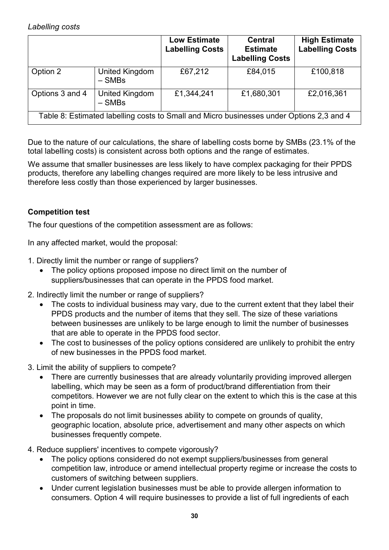### *Labelling costs*

|                                                                                          |                            | <b>Low Estimate</b><br><b>Labelling Costs</b> | <b>Central</b><br><b>Estimate</b><br><b>Labelling Costs</b> | <b>High Estimate</b><br><b>Labelling Costs</b> |  |  |
|------------------------------------------------------------------------------------------|----------------------------|-----------------------------------------------|-------------------------------------------------------------|------------------------------------------------|--|--|
| Option 2                                                                                 | United Kingdom<br>$-$ SMBs | £67,212                                       | £84,015                                                     | £100,818                                       |  |  |
| Options 3 and 4                                                                          | United Kingdom<br>$-SMBs$  | £1,344,241                                    | £1,680,301                                                  | £2,016,361                                     |  |  |
| Table 8: Estimated labelling costs to Small and Micro businesses under Options 2,3 and 4 |                            |                                               |                                                             |                                                |  |  |

Due to the nature of our calculations, the share of labelling costs borne by SMBs (23.1% of the total labelling costs) is consistent across both options and the range of estimates.

We assume that smaller businesses are less likely to have complex packaging for their PPDS products, therefore any labelling changes required are more likely to be less intrusive and therefore less costly than those experienced by larger businesses.

### **Competition test**

The four questions of the competition assessment are as follows:

In any affected market, would the proposal:

- 1. Directly limit the number or range of suppliers?
	- The policy options proposed impose no direct limit on the number of suppliers/businesses that can operate in the PPDS food market.
- 2. Indirectly limit the number or range of suppliers?
	- The costs to individual business may vary, due to the current extent that they label their PPDS products and the number of items that they sell. The size of these variations between businesses are unlikely to be large enough to limit the number of businesses that are able to operate in the PPDS food sector.
	- The cost to businesses of the policy options considered are unlikely to prohibit the entry of new businesses in the PPDS food market.
- 3. Limit the ability of suppliers to compete?
	- There are currently businesses that are already voluntarily providing improved allergen labelling, which may be seen as a form of product/brand differentiation from their competitors. However we are not fully clear on the extent to which this is the case at this point in time.
	- The proposals do not limit businesses ability to compete on grounds of quality, geographic location, absolute price, advertisement and many other aspects on which businesses frequently compete.
- 4. Reduce suppliers' incentives to compete vigorously?
	- The policy options considered do not exempt suppliers/businesses from general competition law, introduce or amend intellectual property regime or increase the costs to customers of switching between suppliers.
	- Under current legislation businesses must be able to provide allergen information to consumers. Option 4 will require businesses to provide a list of full ingredients of each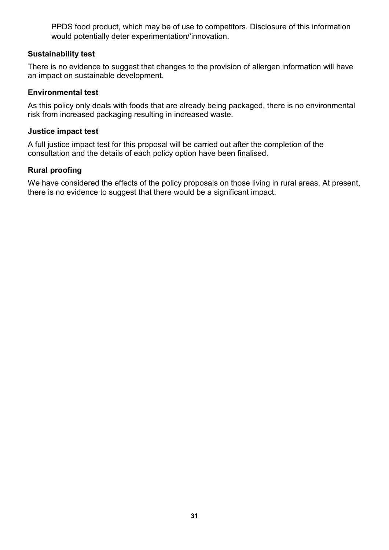PPDS food product, which may be of use to competitors. Disclosure of this information would potentially deter experimentation/'innovation.

#### **Sustainability test**

There is no evidence to suggest that changes to the provision of allergen information will have an impact on sustainable development.

#### **Environmental test**

As this policy only deals with foods that are already being packaged, there is no environmental risk from increased packaging resulting in increased waste.

#### **Justice impact test**

A full justice impact test for this proposal will be carried out after the completion of the consultation and the details of each policy option have been finalised.

#### **Rural proofing**

We have considered the effects of the policy proposals on those living in rural areas. At present, there is no evidence to suggest that there would be a significant impact.